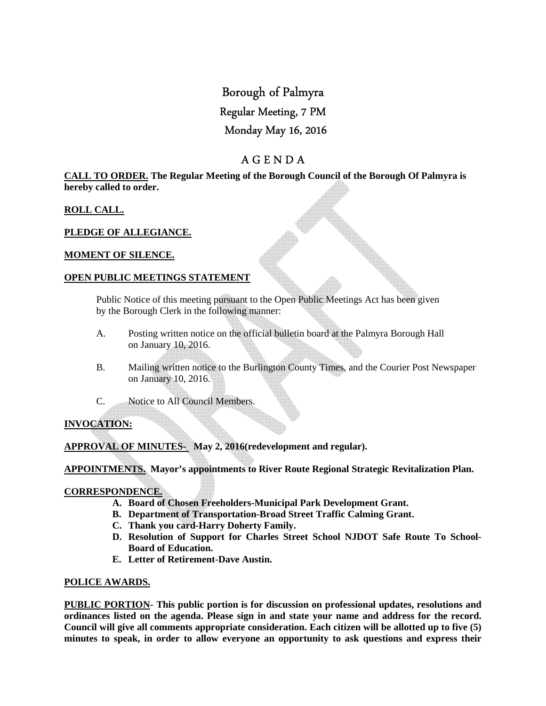# Borough of Palmyra

# Regular Meeting, 7 PM

# Monday May 16, 2016

# A G E N D A

#### **CALL TO ORDER. The Regular Meeting of the Borough Council of the Borough Of Palmyra is hereby called to order.**

### **ROLL CALL.**

### **PLEDGE OF ALLEGIANCE.**

### **MOMENT OF SILENCE.**

### **OPEN PUBLIC MEETINGS STATEMENT**

 Public Notice of this meeting pursuant to the Open Public Meetings Act has been given by the Borough Clerk in the following manner:

- A. Posting written notice on the official bulletin board at the Palmyra Borough Hall on January 10, 2016.
- B. Mailing written notice to the Burlington County Times, and the Courier Post Newspaper on January 10, 2016.
- C. Notice to All Council Members.

## **INVOCATION:**

**APPROVAL OF MINUTES- May 2, 2016(redevelopment and regular).** 

**APPOINTMENTS. Mayor's appointments to River Route Regional Strategic Revitalization Plan.** 

### **CORRESPONDENCE.**

- **A. Board of Chosen Freeholders-Municipal Park Development Grant.**
- **B. Department of Transportation-Broad Street Traffic Calming Grant.**
- **C. Thank you card-Harry Doherty Family.**
- **D. Resolution of Support for Charles Street School NJDOT Safe Route To School-Board of Education.**
- **E. Letter of Retirement-Dave Austin.**

### **POLICE AWARDS.**

**PUBLIC PORTION- This public portion is for discussion on professional updates, resolutions and ordinances listed on the agenda. Please sign in and state your name and address for the record. Council will give all comments appropriate consideration. Each citizen will be allotted up to five (5) minutes to speak, in order to allow everyone an opportunity to ask questions and express their**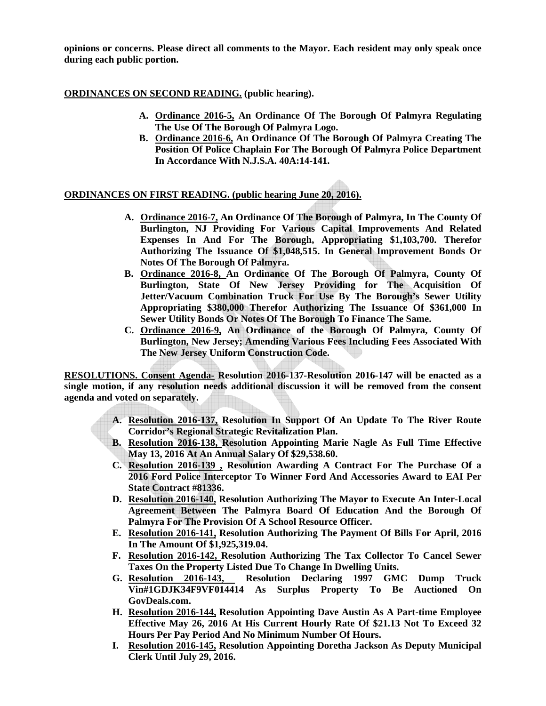**opinions or concerns. Please direct all comments to the Mayor. Each resident may only speak once during each public portion.** 

#### **ORDINANCES ON SECOND READING. (public hearing).**

- **A. Ordinance 2016-5, An Ordinance Of The Borough Of Palmyra Regulating The Use Of The Borough Of Palmyra Logo.**
- **B. Ordinance 2016-6, An Ordinance Of The Borough Of Palmyra Creating The Position Of Police Chaplain For The Borough Of Palmyra Police Department In Accordance With N.J.S.A. 40A:14-141.**

### **ORDINANCES ON FIRST READING. (public hearing June 20, 2016).**

- **A. Ordinance 2016-7, An Ordinance Of The Borough of Palmyra, In The County Of Burlington, NJ Providing For Various Capital Improvements And Related Expenses In And For The Borough, Appropriating \$1,103,700. Therefor Authorizing The Issuance Of \$1,048,515. In General Improvement Bonds Or Notes Of The Borough Of Palmyra.**
- **B. Ordinance 2016-8, An Ordinance Of The Borough Of Palmyra, County Of Burlington, State Of New Jersey Providing for The Acquisition Of Jetter/Vacuum Combination Truck For Use By The Borough's Sewer Utility Appropriating \$380,000 Therefor Authorizing The Issuance Of \$361,000 In Sewer Utility Bonds Or Notes Of The Borough To Finance The Same.**
- **C. Ordinance 2016-9, An Ordinance of the Borough Of Palmyra, County Of Burlington, New Jersey; Amending Various Fees Including Fees Associated With The New Jersey Uniform Construction Code.**

**RESOLUTIONS. Consent Agenda- Resolution 2016-137-Resolution 2016-147 will be enacted as a single motion, if any resolution needs additional discussion it will be removed from the consent agenda and voted on separately.** 

- **A. Resolution 2016-137, Resolution In Support Of An Update To The River Route Corridor's Regional Strategic Revitalization Plan.**
- **B. Resolution 2016-138, Resolution Appointing Marie Nagle As Full Time Effective May 13, 2016 At An Annual Salary Of \$29,538.60.**
- **C. Resolution 2016-139 , Resolution Awarding A Contract For The Purchase Of a 2016 Ford Police Interceptor To Winner Ford And Accessories Award to EAI Per State Contract #81336.**
- **D. Resolution 2016-140, Resolution Authorizing The Mayor to Execute An Inter-Local Agreement Between The Palmyra Board Of Education And the Borough Of Palmyra For The Provision Of A School Resource Officer.**
- **E. Resolution 2016-141, Resolution Authorizing The Payment Of Bills For April, 2016 In The Amount Of \$1,925,319.04.**
- **F. Resolution 2016-142, Resolution Authorizing The Tax Collector To Cancel Sewer Taxes On the Property Listed Due To Change In Dwelling Units.**
- **G. Resolution 2016-143, Resolution Declaring 1997 GMC Dump Truck Vin#1GDJK34F9VF014414 As Surplus Property To Be Auctioned On GovDeals.com.**
- **H. Resolution 2016-144, Resolution Appointing Dave Austin As A Part-time Employee Effective May 26, 2016 At His Current Hourly Rate Of \$21.13 Not To Exceed 32 Hours Per Pay Period And No Minimum Number Of Hours.**
- **I. Resolution 2016-145, Resolution Appointing Doretha Jackson As Deputy Municipal Clerk Until July 29, 2016.**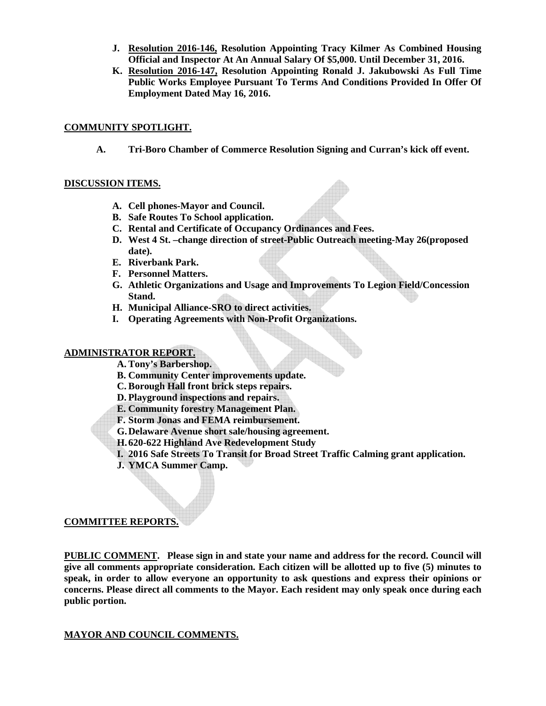- **J. Resolution 2016-146, Resolution Appointing Tracy Kilmer As Combined Housing Official and Inspector At An Annual Salary Of \$5,000. Until December 31, 2016.**
- **K. Resolution 2016-147, Resolution Appointing Ronald J. Jakubowski As Full Time Public Works Employee Pursuant To Terms And Conditions Provided In Offer Of Employment Dated May 16, 2016.**

#### **COMMUNITY SPOTLIGHT.**

**A. Tri-Boro Chamber of Commerce Resolution Signing and Curran's kick off event.** 

#### **DISCUSSION ITEMS.**

- **A. Cell phones-Mayor and Council.**
- **B. Safe Routes To School application.**
- **C. Rental and Certificate of Occupancy Ordinances and Fees.**
- **D. West 4 St. –change direction of street-Public Outreach meeting-May 26(proposed date).**
- **E. Riverbank Park.**
- **F. Personnel Matters.**
- **G. Athletic Organizations and Usage and Improvements To Legion Field/Concession Stand.**
- **H. Municipal Alliance-SRO to direct activities.**
- **I. Operating Agreements with Non-Profit Organizations.**

#### **ADMINISTRATOR REPORT.**

- **A. Tony's Barbershop.**
- **B. Community Center improvements update.**
- **C. Borough Hall front brick steps repairs.**
- **D. Playground inspections and repairs.**
- **E. Community forestry Management Plan.**
- **F. Storm Jonas and FEMA reimbursement.**
- **G.Delaware Avenue short sale/housing agreement.**
- **H.620-622 Highland Ave Redevelopment Study**
- **I. 2016 Safe Streets To Transit for Broad Street Traffic Calming grant application.**
- **J. YMCA Summer Camp.**

#### **COMMITTEE REPORTS.**

**PUBLIC COMMENT. Please sign in and state your name and address for the record. Council will give all comments appropriate consideration. Each citizen will be allotted up to five (5) minutes to speak, in order to allow everyone an opportunity to ask questions and express their opinions or concerns. Please direct all comments to the Mayor. Each resident may only speak once during each public portion.** 

#### **MAYOR AND COUNCIL COMMENTS.**